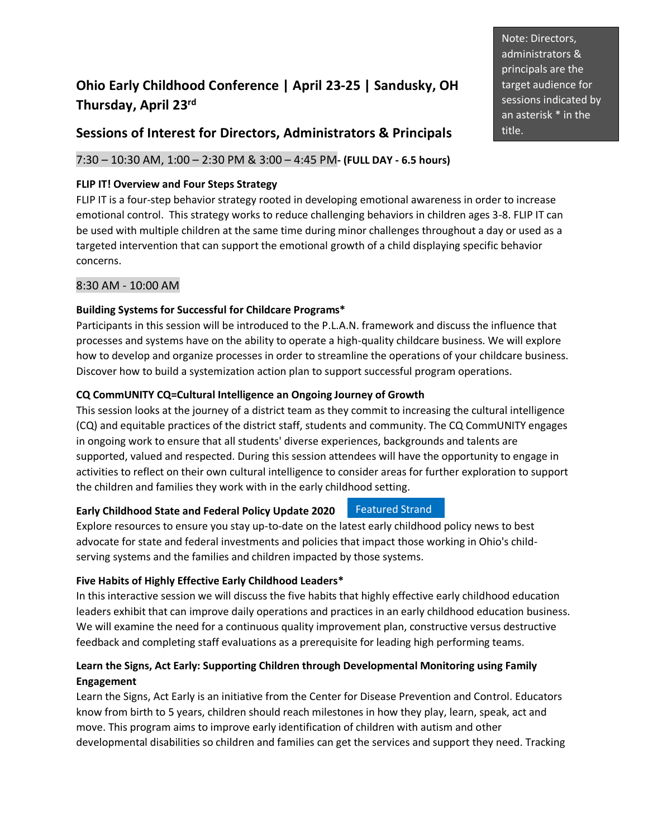# **Ohio Early Childhood Conference | April 23-25 | Sandusky, OH Thursday, April 23 rd**

# **Sessions of Interest for Directors, Administrators & Principals**

# 7:30 – 10:30 AM, 1:00 – 2:30 PM & 3:00 – 4:45 PM**- (FULL DAY - 6.5 hours)**

### **FLIP IT! Overview and Four Steps Strategy**

FLIP IT is a four-step behavior strategy rooted in developing emotional awareness in order to increase emotional control. This strategy works to reduce challenging behaviors in children ages 3-8. FLIP IT can be used with multiple children at the same time during minor challenges throughout a day or used as a targeted intervention that can support the emotional growth of a child displaying specific behavior concerns.

#### 8:30 AM - 10:00 AM

#### **Building Systems for Successful for Childcare Programs\***

Participants in this session will be introduced to the P.L.A.N. framework and discuss the influence that processes and systems have on the ability to operate a high-quality childcare business. We will explore how to develop and organize processes in order to streamline the operations of your childcare business. Discover how to build a systemization action plan to support successful program operations.

#### **CQ CommUNITY CQ=Cultural Intelligence an Ongoing Journey of Growth**

This session looks at the journey of a district team as they commit to increasing the cultural intelligence (CQ) and equitable practices of the district staff, students and community. The CQ CommUNITY engages in ongoing work to ensure that all students' diverse experiences, backgrounds and talents are supported, valued and respected. During this session attendees will have the opportunity to engage in activities to reflect on their own cultural intelligence to consider areas for further exploration to support the children and families they work with in the early childhood setting.

#### **Early Childhood State and Federal Policy Update 2020** Featured Strand

Explore resources to ensure you stay up-to-date on the latest early childhood policy news to best advocate for state and federal investments and policies that impact those working in Ohio's childserving systems and the families and children impacted by those systems.

#### **Five Habits of Highly Effective Early Childhood Leaders\***

In this interactive session we will discuss the five habits that highly effective early childhood education leaders exhibit that can improve daily operations and practices in an early childhood education business. We will examine the need for a continuous quality improvement plan, constructive versus destructive feedback and completing staff evaluations as a prerequisite for leading high performing teams.

# **Learn the Signs, Act Early: Supporting Children through Developmental Monitoring using Family Engagement**

Learn the Signs, Act Early is an initiative from the Center for Disease Prevention and Control. Educators know from birth to 5 years, children should reach milestones in how they play, learn, speak, act and move. This program aims to improve early identification of children with autism and other developmental disabilities so children and families can get the services and support they need. Tracking

Note: Directors, administrators & principals are the target audience for sessions indicated by an asterisk \* in the title.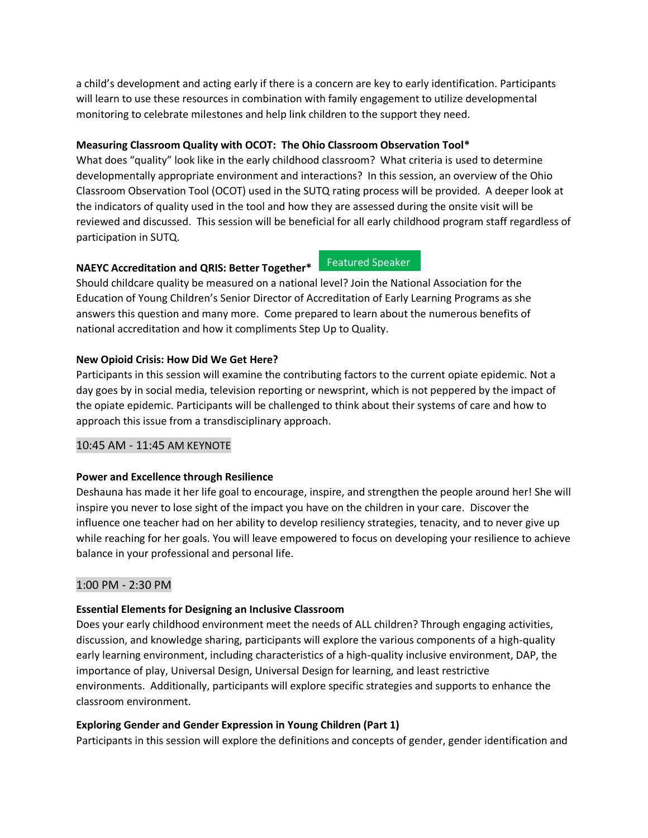a child's development and acting early if there is a concern are key to early identification. Participants will learn to use these resources in combination with family engagement to utilize developmental monitoring to celebrate milestones and help link children to the support they need.

# **Measuring Classroom Quality with OCOT: The Ohio Classroom Observation Tool\***

What does "quality" look like in the early childhood classroom? What criteria is used to determine developmentally appropriate environment and interactions? In this session, an overview of the Ohio Classroom Observation Tool (OCOT) used in the SUTQ rating process will be provided. A deeper look at the indicators of quality used in the tool and how they are assessed during the onsite visit will be reviewed and discussed. This session will be beneficial for all early childhood program staff regardless of participation in SUTQ.

# **NAEYC Accreditation and QRIS: Better Together\***

Featured Speaker

Should childcare quality be measured on a national level? Join the National Association for the Education of Young Children's Senior Director of Accreditation of Early Learning Programs as she answers this question and many more. Come prepared to learn about the numerous benefits of national accreditation and how it compliments Step Up to Quality.

# **New Opioid Crisis: How Did We Get Here?**

Participants in this session will examine the contributing factors to the current opiate epidemic. Not a day goes by in social media, television reporting or newsprint, which is not peppered by the impact of the opiate epidemic. Participants will be challenged to think about their systems of care and how to approach this issue from a transdisciplinary approach.

# 10:45 AM - 11:45 AM KEYNOTE

# **Power and Excellence through Resilience**

Deshauna has made it her life goal to encourage, inspire, and strengthen the people around her! She will inspire you never to lose sight of the impact you have on the children in your care. Discover the influence one teacher had on her ability to develop resiliency strategies, tenacity, and to never give up while reaching for her goals. You will leave empowered to focus on developing your resilience to achieve balance in your professional and personal life.

# 1:00 PM - 2:30 PM

# **Essential Elements for Designing an Inclusive Classroom**

Does your early childhood environment meet the needs of ALL children? Through engaging activities, discussion, and knowledge sharing, participants will explore the various components of a high-quality early learning environment, including characteristics of a high-quality inclusive environment, DAP, the importance of play, Universal Design, Universal Design for learning, and least restrictive environments. Additionally, participants will explore specific strategies and supports to enhance the classroom environment.

# **Exploring Gender and Gender Expression in Young Children (Part 1)**

Participants in this session will explore the definitions and concepts of gender, gender identification and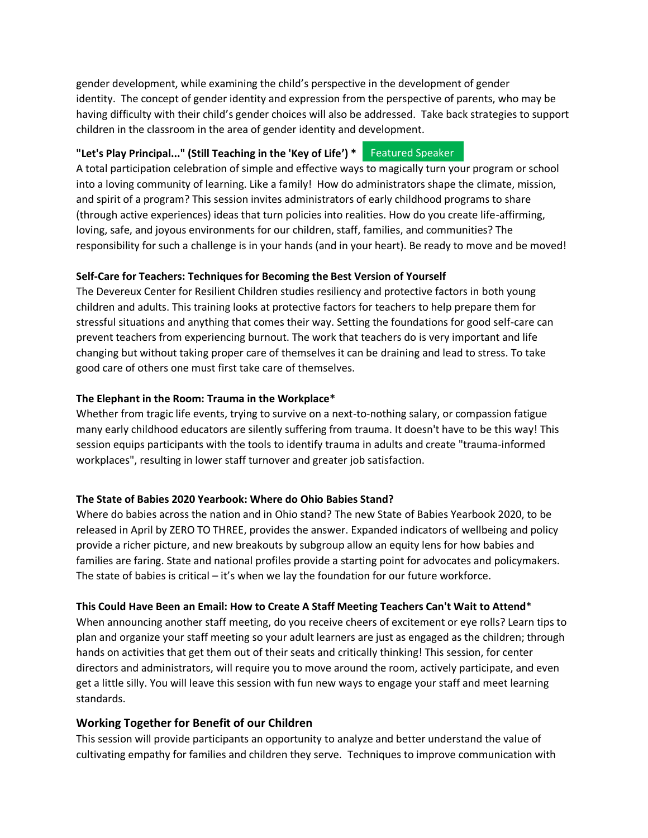gender development, while examining the child's perspective in the development of gender identity. The concept of gender identity and expression from the perspective of parents, who may be having difficulty with their child's gender choices will also be addressed. Take back strategies to support children in the classroom in the area of gender identity and development.

#### **"Let's Play Principal..." (Still Teaching in the 'Key of Life') \*** Featured Speaker

A total participation celebration of simple and effective ways to magically turn your program or school into a loving community of learning. Like a family! How do administrators shape the climate, mission, and spirit of a program? This session invites administrators of early childhood programs to share (through active experiences) ideas that turn policies into realities. How do you create life-affirming, loving, safe, and joyous environments for our children, staff, families, and communities? The responsibility for such a challenge is in your hands (and in your heart). Be ready to move and be moved!

# **Self-Care for Teachers: Techniques for Becoming the Best Version of Yourself**

The Devereux Center for Resilient Children studies resiliency and protective factors in both young children and adults. This training looks at protective factors for teachers to help prepare them for stressful situations and anything that comes their way. Setting the foundations for good self-care can prevent teachers from experiencing burnout. The work that teachers do is very important and life changing but without taking proper care of themselves it can be draining and lead to stress. To take good care of others one must first take care of themselves.

#### **The Elephant in the Room: Trauma in the Workplace\***

Whether from tragic life events, trying to survive on a next-to-nothing salary, or compassion fatigue many early childhood educators are silently suffering from trauma. It doesn't have to be this way! This session equips participants with the tools to identify trauma in adults and create "trauma-informed workplaces", resulting in lower staff turnover and greater job satisfaction.

#### **The State of Babies 2020 Yearbook: Where do Ohio Babies Stand?**

Where do babies across the nation and in Ohio stand? The new State of Babies Yearbook 2020, to be released in April by ZERO TO THREE, provides the answer. Expanded indicators of wellbeing and policy provide a richer picture, and new breakouts by subgroup allow an equity lens for how babies and families are faring. State and national profiles provide a starting point for advocates and policymakers. The state of babies is critical – it's when we lay the foundation for our future workforce.

#### **This Could Have Been an Email: How to Create A Staff Meeting Teachers Can't Wait to Attend**\*

When announcing another staff meeting, do you receive cheers of excitement or eye rolls? Learn tips to plan and organize your staff meeting so your adult learners are just as engaged as the children; through hands on activities that get them out of their seats and critically thinking! This session, for center directors and administrators, will require you to move around the room, actively participate, and even get a little silly. You will leave this session with fun new ways to engage your staff and meet learning standards.

# **Working Together for Benefit of our Children**

This session will provide participants an opportunity to analyze and better understand the value of cultivating empathy for families and children they serve. Techniques to improve communication with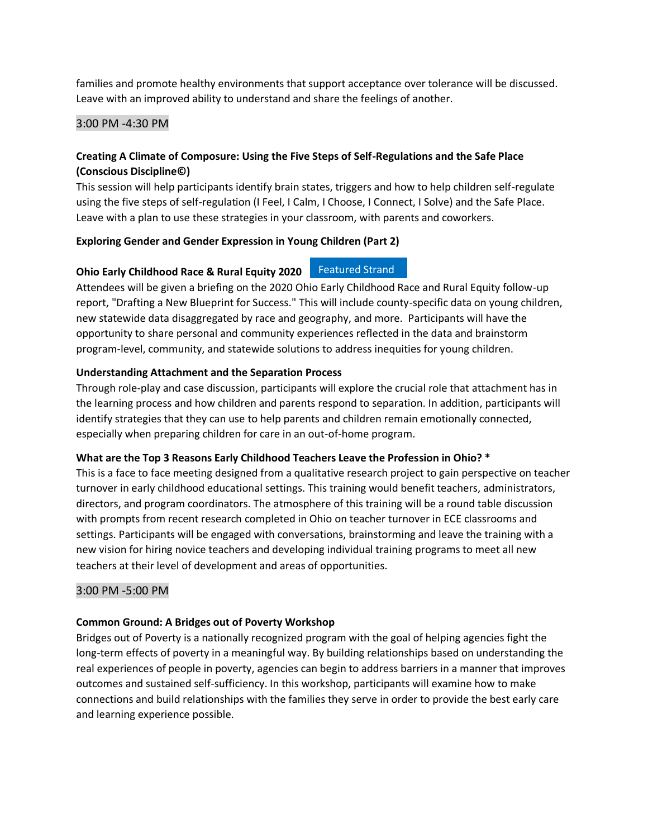families and promote healthy environments that support acceptance over tolerance will be discussed. Leave with an improved ability to understand and share the feelings of another.

#### 3:00 PM -4:30 PM

# **Creating A Climate of Composure: Using the Five Steps of Self-Regulations and the Safe Place (Conscious Discipline©)**

This session will help participants identify brain states, triggers and how to help children self-regulate using the five steps of self-regulation (I Feel, I Calm, I Choose, I Connect, I Solve) and the Safe Place. Leave with a plan to use these strategies in your classroom, with parents and coworkers.

#### **Exploring Gender and Gender Expression in Young Children (Part 2)**

# **Ohio Early Childhood Race & Rural Equity 2020** Featured Strand

Attendees will be given a briefing on the 2020 Ohio Early Childhood Race and Rural Equity follow-up report, "Drafting a New Blueprint for Success." This will include county-specific data on young children, new statewide data disaggregated by race and geography, and more. Participants will have the opportunity to share personal and community experiences reflected in the data and brainstorm program-level, community, and statewide solutions to address inequities for young children.

#### **Understanding Attachment and the Separation Process**

Through role-play and case discussion, participants will explore the crucial role that attachment has in the learning process and how children and parents respond to separation. In addition, participants will identify strategies that they can use to help parents and children remain emotionally connected, especially when preparing children for care in an out-of-home program.

#### **What are the Top 3 Reasons Early Childhood Teachers Leave the Profession in Ohio? \***

This is a face to face meeting designed from a qualitative research project to gain perspective on teacher turnover in early childhood educational settings. This training would benefit teachers, administrators, directors, and program coordinators. The atmosphere of this training will be a round table discussion with prompts from recent research completed in Ohio on teacher turnover in ECE classrooms and settings. Participants will be engaged with conversations, brainstorming and leave the training with a new vision for hiring novice teachers and developing individual training programs to meet all new teachers at their level of development and areas of opportunities.

# 3:00 PM -5:00 PM

# **Common Ground: A Bridges out of Poverty Workshop**

Bridges out of Poverty is a nationally recognized program with the goal of helping agencies fight the long-term effects of poverty in a meaningful way. By building relationships based on understanding the real experiences of people in poverty, agencies can begin to address barriers in a manner that improves outcomes and sustained self-sufficiency. In this workshop, participants will examine how to make connections and build relationships with the families they serve in order to provide the best early care and learning experience possible.